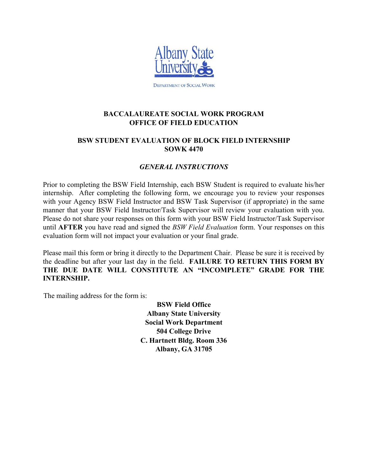

**DEPARTMENT OF SOCIAL WORK** 

#### **BACCALAUREATE SOCIAL WORK PROGRAM OFFICE OF FIELD EDUCATION**

#### **BSW STUDENT EVALUATION OF BLOCK FIELD INTERNSHIP SOWK 4470**

#### *GENERAL INSTRUCTIONS*

Prior to completing the BSW Field Internship, each BSW Student is required to evaluate his/her internship. After completing the following form, we encourage you to review your responses with your Agency BSW Field Instructor and BSW Task Supervisor (if appropriate) in the same manner that your BSW Field Instructor/Task Supervisor will review your evaluation with you. Please do not share your responses on this form with your BSW Field Instructor/Task Supervisor until **AFTER** you have read and signed the *BSW Field Evaluation* form. Your responses on this evaluation form will not impact your evaluation or your final grade.

Please mail this form or bring it directly to the Department Chair. Please be sure it is received by the deadline but after your last day in the field. **FAILURE TO RETURN THIS FORM BY THE DUE DATE WILL CONSTITUTE AN "INCOMPLETE" GRADE FOR THE INTERNSHIP.** 

The mailing address for the form is:

**BSW Field Office Albany State University Social Work Department 504 College Drive C. Hartnett Bldg. Room 336 Albany, GA 31705**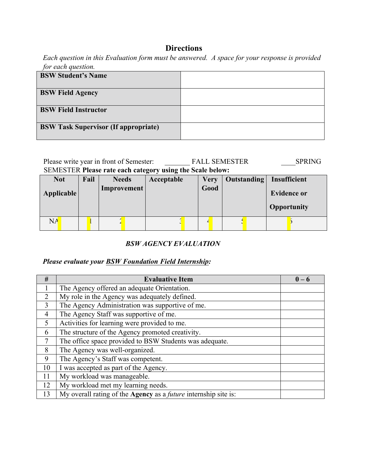# **Directions**

*Each question in this Evaluation form must be answered. A space for your response is provided for each question.* 

| <b>BSW Student's Name</b>                   |  |
|---------------------------------------------|--|
| <b>BSW Field Agency</b>                     |  |
| <b>BSW Field Instructor</b>                 |  |
| <b>BSW Task Supervisor (If appropriate)</b> |  |

| Please write year in front of Semester:                          | <b>FALL SEMESTER</b> | <b>SPRING</b> |
|------------------------------------------------------------------|----------------------|---------------|
| <b>SEMESTER Please rate each category using the Scale below:</b> |                      |               |

| <b>Not</b>        | Fail | <b>Needs</b> | Acceptable | <b>Very</b> | <b>Outstanding</b> | Insufficient       |
|-------------------|------|--------------|------------|-------------|--------------------|--------------------|
| <b>Applicable</b> |      | Improvement  |            | Good        |                    | <b>Evidence or</b> |
|                   |      |              |            |             |                    | <b>Opportunity</b> |
| NA                |      |              |            |             |                    |                    |

#### *BSW AGENCY EVALUATION*

## *Please evaluate your BSW Foundation Field Internship:*

| #              | <b>Evaluative Item</b>                                                        | $0 - 6$ |
|----------------|-------------------------------------------------------------------------------|---------|
|                | The Agency offered an adequate Orientation.                                   |         |
| $\overline{2}$ | My role in the Agency was adequately defined.                                 |         |
| 3              | The Agency Administration was supportive of me.                               |         |
| $\overline{4}$ | The Agency Staff was supportive of me.                                        |         |
| 5              | Activities for learning were provided to me.                                  |         |
| 6              | The structure of the Agency promoted creativity.                              |         |
| 7              | The office space provided to BSW Students was adequate.                       |         |
| 8              | The Agency was well-organized.                                                |         |
| 9              | The Agency's Staff was competent.                                             |         |
| 10             | I was accepted as part of the Agency.                                         |         |
| 11             | My workload was manageable.                                                   |         |
| 12             | My workload met my learning needs.                                            |         |
| 13             | My overall rating of the <b>Agency</b> as a <i>future</i> internship site is: |         |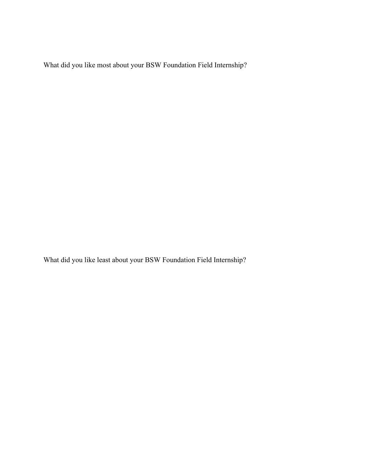What did you like most about your BSW Foundation Field Internship?

What did you like least about your BSW Foundation Field Internship?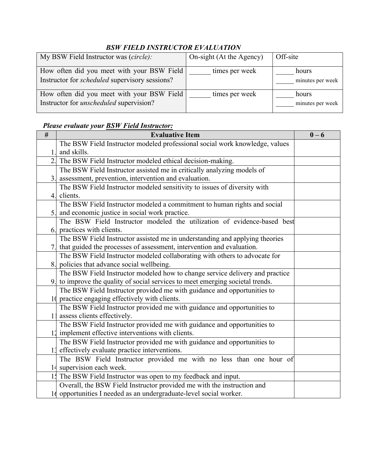# *BSW FIELD INSTRUCTOR EVALUATION*

| My BSW Field Instructor was (circle):                                                               | On-sight (At the Agency) | Off-site                  |
|-----------------------------------------------------------------------------------------------------|--------------------------|---------------------------|
| How often did you meet with your BSW Field<br>Instructor for <i>scheduled</i> supervisory sessions? | times per week           | hours<br>minutes per week |
| How often did you meet with your BSW Field<br>Instructor for <i>unscheduled</i> supervision?        | times per week           | hours<br>minutes per week |

## *Please evaluate your BSW Field Instructor:*

| $\#$ | <b>Evaluative Item</b>                                                         | $0 - 6$ |
|------|--------------------------------------------------------------------------------|---------|
|      | The BSW Field Instructor modeled professional social work knowledge, values    |         |
|      | and skills.                                                                    |         |
|      | 2. The BSW Field Instructor modeled ethical decision-making.                   |         |
|      | The BSW Field Instructor assisted me in critically analyzing models of         |         |
|      | assessment, prevention, intervention and evaluation.                           |         |
|      | The BSW Field Instructor modeled sensitivity to issues of diversity with       |         |
|      | 4. clients.                                                                    |         |
|      | The BSW Field Instructor modeled a commitment to human rights and social       |         |
|      | 5. and economic justice in social work practice.                               |         |
|      | The BSW Field Instructor modeled the utilization of evidence-based best        |         |
|      | 6. practices with clients.                                                     |         |
|      | The BSW Field Instructor assisted me in understanding and applying theories    |         |
|      | 7. that guided the processes of assessment, intervention and evaluation.       |         |
|      | The BSW Field Instructor modeled collaborating with others to advocate for     |         |
|      | 8. policies that advance social wellbeing.                                     |         |
|      | The BSW Field Instructor modeled how to change service delivery and practice   |         |
|      | 9. to improve the quality of social services to meet emerging societal trends. |         |
|      | The BSW Field Instructor provided me with guidance and opportunities to        |         |
|      | 10 practice engaging effectively with clients.                                 |         |
|      | The BSW Field Instructor provided me with guidance and opportunities to        |         |
|      | assess clients effectively.                                                    |         |
|      | The BSW Field Instructor provided me with guidance and opportunities to        |         |
|      | 12 implement effective interventions with clients.                             |         |
|      | The BSW Field Instructor provided me with guidance and opportunities to        |         |
|      | 11 effectively evaluate practice interventions.                                |         |
|      | The BSW Field Instructor provided me with no less than one hour of             |         |
|      | 14 supervision each week.                                                      |         |
|      | 1. The BSW Field Instructor was open to my feedback and input.                 |         |
|      | Overall, the BSW Field Instructor provided me with the instruction and         |         |
|      | 16 opportunities I needed as an undergraduate-level social worker.             |         |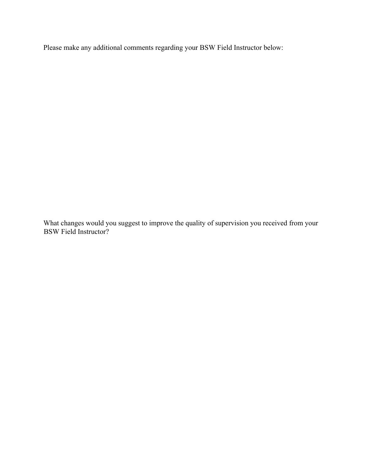Please make any additional comments regarding your BSW Field Instructor below:

What changes would you suggest to improve the quality of supervision you received from your BSW Field Instructor?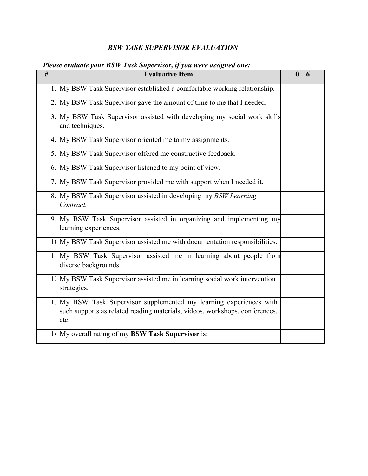# *BSW TASK SUPERVISOR EVALUATION*

## *Please evaluate your BSW Task Supervisor, if you were assigned one:*

| #                | <b>Evaluative Item</b>                                                                                                                                     | $0 - 6$ |
|------------------|------------------------------------------------------------------------------------------------------------------------------------------------------------|---------|
| 1.               | My BSW Task Supervisor established a comfortable working relationship.                                                                                     |         |
| 2.               | My BSW Task Supervisor gave the amount of time to me that I needed.                                                                                        |         |
| $\overline{3}$ . | My BSW Task Supervisor assisted with developing my social work skills<br>and techniques.                                                                   |         |
| 4.               | My BSW Task Supervisor oriented me to my assignments.                                                                                                      |         |
| 5.               | My BSW Task Supervisor offered me constructive feedback.                                                                                                   |         |
| 6.               | My BSW Task Supervisor listened to my point of view.                                                                                                       |         |
| 7.               | My BSW Task Supervisor provided me with support when I needed it.                                                                                          |         |
| 8.               | My BSW Task Supervisor assisted in developing my BSW Learning<br>Contract.                                                                                 |         |
| 9.               | My BSW Task Supervisor assisted in organizing and implementing my<br>learning experiences.                                                                 |         |
|                  | 10 My BSW Task Supervisor assisted me with documentation responsibilities.                                                                                 |         |
| 1 <sup>1</sup>   | My BSW Task Supervisor assisted me in learning about people from<br>diverse backgrounds.                                                                   |         |
| 12               | My BSW Task Supervisor assisted me in learning social work intervention<br>strategies.                                                                     |         |
|                  | 11 My BSW Task Supervisor supplemented my learning experiences with<br>such supports as related reading materials, videos, workshops, conferences,<br>etc. |         |
|                  | 14 My overall rating of my BSW Task Supervisor is:                                                                                                         |         |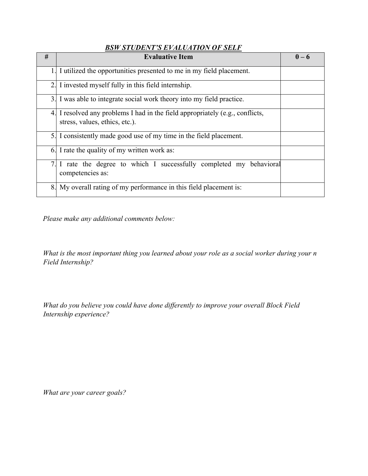#### *BSW STUDENT'S EVALUATION OF SELF*

| #              | <b>Evaluative Item</b>                                                                                       | $0 - 6$ |
|----------------|--------------------------------------------------------------------------------------------------------------|---------|
|                | I utilized the opportunities presented to me in my field placement.                                          |         |
|                | 2. I invested myself fully in this field internship.                                                         |         |
| 3 <sub>1</sub> | I was able to integrate social work theory into my field practice.                                           |         |
| 4.             | I resolved any problems I had in the field appropriately (e.g., conflicts,<br>stress, values, ethics, etc.). |         |
|                | 5. I consistently made good use of my time in the field placement.                                           |         |
|                | 6. I rate the quality of my written work as:                                                                 |         |
|                | I rate the degree to which I successfully completed my behavioral<br>competencies as:                        |         |
| 8.             | My overall rating of my performance in this field placement is:                                              |         |

*Please make any additional comments below:* 

*What is the most important thing you learned about your role as a social worker during your n Field Internship?* 

*What do you believe you could have done differently to improve your overall Block Field Internship experience?* 

*What are your career goals?*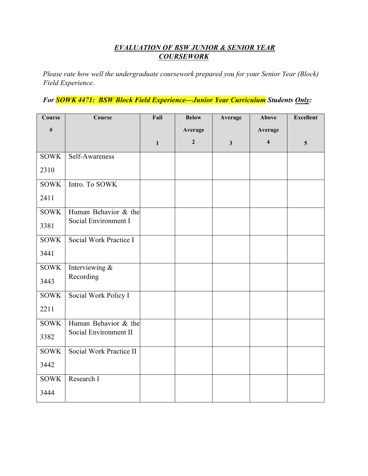#### *EVALUATION OF BSW JUNIOR & SENIOR YEAR COURSEWORK*

*Please rate how well the undergraduate coursework prepared you for your Senior Year (Block) Field Experience.*

*For SOWK 4471: BSW Block Field Experience—Junior Year Curriculum Students Only:* 

| Course                   | Course                                      | Fail         | <b>Below</b>   | Average      | Above                   | <b>Excellent</b> |
|--------------------------|---------------------------------------------|--------------|----------------|--------------|-------------------------|------------------|
| #                        |                                             |              | Average        |              | Average                 |                  |
|                          |                                             | $\mathbf{1}$ | $\overline{2}$ | $\mathbf{3}$ | $\overline{\mathbf{4}}$ | $5\overline{)}$  |
| <b>SOWK</b>              | Self-Awareness                              |              |                |              |                         |                  |
| 2310                     |                                             |              |                |              |                         |                  |
| <b>SOWK</b>              | Intro. To SOWK                              |              |                |              |                         |                  |
| 2411                     |                                             |              |                |              |                         |                  |
| <b>SOWK</b>              | Human Behavior $\overline{\mathscr{K}}$ the |              |                |              |                         |                  |
| 3381                     | Social Environment I                        |              |                |              |                         |                  |
| <b>SOWK</b>              | Social Work Practice I                      |              |                |              |                         |                  |
| 3441                     |                                             |              |                |              |                         |                  |
| <b>SOWK</b>              | Interviewing $\&$                           |              |                |              |                         |                  |
| 3443                     | Recording                                   |              |                |              |                         |                  |
| <b>SOWK</b>              | Social Work Policy I                        |              |                |              |                         |                  |
| 2211                     |                                             |              |                |              |                         |                  |
| $\overline{\text{SOWK}}$ | Human Behavior & the                        |              |                |              |                         |                  |
| 3382                     | Social Environment II                       |              |                |              |                         |                  |
| <b>SOWK</b>              | Social Work Practice II                     |              |                |              |                         |                  |
| 3442                     |                                             |              |                |              |                         |                  |
| <b>SOWK</b>              | Research I                                  |              |                |              |                         |                  |
| 3444                     |                                             |              |                |              |                         |                  |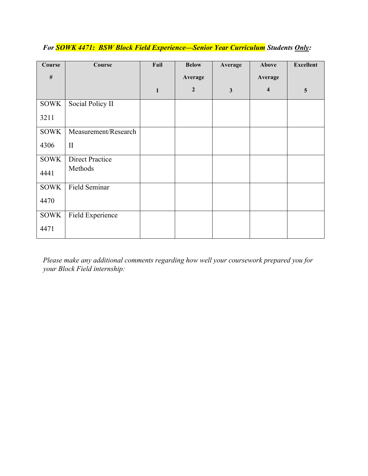| Course      | Course                 | Fail         | <b>Below</b>   | Average      | Above                   | <b>Excellent</b> |
|-------------|------------------------|--------------|----------------|--------------|-------------------------|------------------|
| $\#$        |                        |              | Average        |              | Average                 |                  |
|             |                        | $\mathbf{1}$ | $\overline{2}$ | $\mathbf{3}$ | $\overline{\mathbf{4}}$ | 5                |
| <b>SOWK</b> | Social Policy II       |              |                |              |                         |                  |
| 3211        |                        |              |                |              |                         |                  |
| <b>SOWK</b> | Measurement/Research   |              |                |              |                         |                  |
| 4306        | $\mathbf{I}$           |              |                |              |                         |                  |
| <b>SOWK</b> | <b>Direct Practice</b> |              |                |              |                         |                  |
| 4441        | Methods                |              |                |              |                         |                  |
| <b>SOWK</b> | Field Seminar          |              |                |              |                         |                  |

# *For SOWK 4471: BSW Block Field Experience—Senior Year Curriculum Students Only:*

*Please make any additional comments regarding how well your coursework prepared you for your Block Field internship:* 

4470

4471

SOWK

Field Experience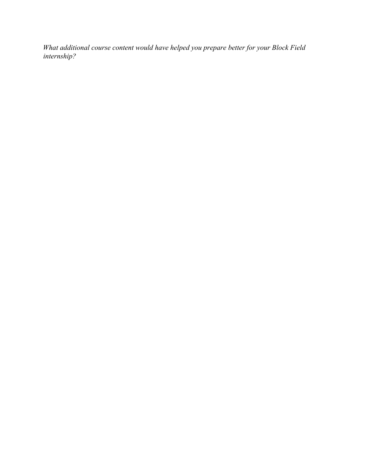*What additional course content would have helped you prepare better for your Block Field internship?*